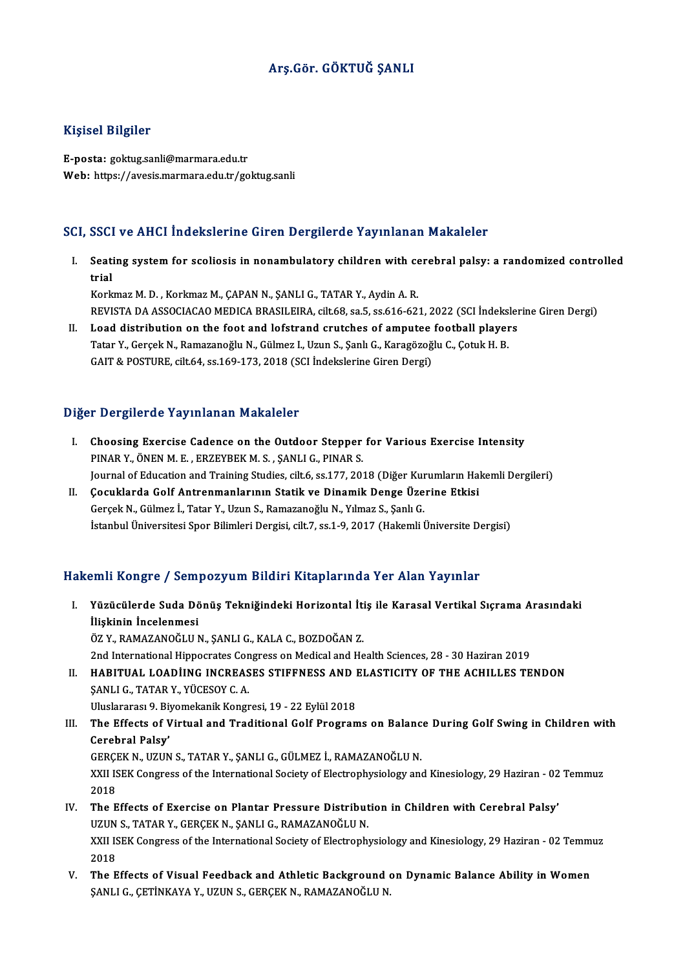# Arş.Gör. GÖKTUĞ ŞANLI

## Kişisel Bilgiler

E-posta: goktug.sanli@marmara.edu.tr Web: https://avesis.marmara.edu.tr/goktug.sanli

### SCI, SSCI ve AHCI İndekslerine Giren Dergilerde Yayınlanan Makaleler

CI, SSCI ve AHCI İndekslerine Giren Dergilerde Yayınlanan Makaleler<br>I. Seating system for scoliosis in nonambulatory children with cerebral palsy: a randomized controlled<br>trial sser<br>Seati<br>trial trial<br>Korkmaz M. D. , Korkmaz M., ÇAPAN N., ŞANLI G., TATAR Y., Aydin A. R.

trial<br>Korkmaz M. D. , Korkmaz M., ÇAPAN N., ŞANLI G., TATAR Y., Aydin A. R.<br>REVISTA DA ASSOCIACAO MEDICA BRASILEIRA, cilt.68, sa.5, ss.616-621, 2022 (SCI İndekslerine Giren Dergi)<br>Load distribution on the foat and lafstran Korkmaz M. D., Korkmaz M., ÇAPAN N., ŞANLI G., TATAR Y., Aydin A. R.<br>REVISTA DA ASSOCIACAO MEDICA BRASILEIRA, cilt.68, sa.5, ss.616-621, 2022 (SCI İndeksler<br>II. Load distribution on the foot and lofstrand crutches of amput

REVISTA DA ASSOCIACAO MEDICA BRASILEIRA, cilt.68, sa.5, ss.616-621, 2022 (SCI İndeksi<br>Load distribution on the foot and lofstrand crutches of amputee football player<br>Tatar Y., Gerçek N., Ramazanoğlu N., Gülmez I., Uzun S., II. Load distribution on the foot and lofstrand crutches of amputee football players<br>Tatar Y., Gerçek N., Ramazanoğlu N., Gülmez I., Uzun S., Şanlı G., Karagözoğlu C., Çotuk H. B.<br>GAIT & POSTURE, cilt.64, ss.169-173, 2018

#### Diğer Dergilerde Yayınlanan Makaleler

- Iger Dergilerde Yayınlanan Makaleler<br>I. Choosing Exercise Cadence on the Outdoor Stepper for Various Exercise Intensity Porgher act ray mianam manareter<br>Choosing Exercise Cadence on the Outdoor Stepper<br>PINAR Y., ÖNEN M. E., ERZEYBEK M. S., ŞANLI G., PINAR S. PINAR Y., ÖNEN M. E. , ERZEYBEK M. S. , ŞANLI G., PINAR S.<br>Journal of Education and Training Studies, cilt.6, ss.177, 2018 (Diğer Kurumların Hakemli Dergileri) PINAR Y., ÖNEN M. E., ERZEYBEK M. S., ŞANLI G., PINAR S.<br>Journal of Education and Training Studies, cilt.6, ss.177, 2018 (Diğer Kurumların Hal<br>II. Cocuklarda Golf Antrenmanlarının Statik ve Dinamik Denge Üzerine Etkisi
- Gerçek N., Gülmez İ., Tatar Y., Uzun S., Ramazanoğlu N., Yılmaz S., Şanlı G.<br>İstanbul Üniversitesi Spor Bilimleri Dergisi, cilt.7, ss.1-9, 2017 (Hakemli Üniversite Dergisi) Çocuklarda Golf Antrenmanlarının Statik ve Dinamik Denge Üzerine Etkisi<br>Gerçek N., Gülmez İ., Tatar Y., Uzun S., Ramazanoğlu N., Yılmaz S., Şanlı G.<br>İstanbul Üniversitesi Spor Bilimleri Dergisi, cilt.7, ss.1-9, 2017 (Hakem

## Hakemli Kongre / Sempozyum Bildiri Kitaplarında Yer Alan Yayınlar

- akemli Kongre / Sempozyum Bildiri Kitaplarında Yer Alan Yayınlar<br>I. Yüzücülerde Suda Dönüş Tekniğindeki Horizontal İtiş ile Karasal Vertikal Sıçrama Arasındaki<br>İlişkinin İngelenmesi imin İlbirgi e 7 Semi<br>Yüzücülerde Suda Dö<br>İlişkinin İncelenmesi<br>ÖZ V. PAMAZANOĞLUA Yüzücülerde Suda Dönüş Tekniğindeki Horizontal İti<br>İlişkinin İncelenmesi<br>ÖZ Y., RAMAZANOĞLUN., ŞANLI G., KALA C., BOZDOĞAN Z.<br>2nd International Hinnesrates Consress on Medisel and He İlişkinin İncelenmesi<br>ÖZ Y., RAMAZANOĞLU N., ŞANLI G., KALA C., BOZDOĞAN Z.<br>2nd International Hippocrates Congress on Medical and Health Sciences, 28 - 30 Haziran 2019 ÖZ Y., RAMAZANOĞLU N., ŞANLI G., KALA C., BOZDOĞAN Z.<br>2nd International Hippocrates Congress on Medical and Health Sciences, 28 - 30 Haziran 2019<br>II. HABITUAL LOADİING INCREASES STIFFNESS AND ELASTICITY OF THE ACHILLES TEN
- ŞANLI G., TATAR Y., YÜCESOY C. A.<br>Uluslararası 9. Biyomekanik Kongresi, 19 22 Eylül 2018 HABITUAL LOADIING INCREASES STIFFNESS AND I<br>ŞANLI G., TATAR Y., YÜCESOY C. A.<br>Uluslararası 9. Biyomekanik Kongresi, 19 - 22 Eylül 2018<br>The Effecte of Vintual and Traditional Colf Brogram SANLI G., TATAR Y., YÜCESOY C. A.<br>Uluslararası 9. Biyomekanik Kongresi, 19 - 22 Eylül 2018<br>III. The Effects of Virtual and Traditional Golf Programs on Balance During Golf Swing in Children with<br>Carebral Palsy'
- Uluslararası 9. Biy<br>The Effects of V<br>Cerebral Palsy'<br>CERCEV N. UZUN The Effects of Virtual and Traditional Golf Programs on Balanc<br>Cerebral Palsy'<br>GERÇEK N., UZUN S., TATAR Y., ŞANLI G., GÜLMEZ İ., RAMAZANOĞLU N.<br>YYU ISEK CORTESS of the International Society of Electronbusielegy and Cerebral Palsy'<br>GERÇEK N., UZUN S., TATAR Y., ŞANLI G., GÜLMEZ İ., RAMAZANOĞLU N.<br>XXII ISEK Congress of the International Society of Electrophysiology and Kinesiology, 29 Haziran - 02 Temmuz<br>2018 **GERÇI<br>XXII IS<br>2018<br>The F** XXII ISEK Congress of the International Society of Electrophysiology and Kinesiology, 29 Haziran - 02<br>2018<br>IV. The Effects of Exercise on Plantar Pressure Distribution in Children with Cerebral Palsy'<br>IIZIIN S. TATAR Y. CE
- 2018<br>The Effects of Exercise on Plantar Pressure Distribut<br>UZUN S., TATAR Y., GERÇEK N., ŞANLI G., RAMAZANOĞLU N.<br>YYU ISEK CORTESS of the International Society of Electronh IV. The Effects of Exercise on Plantar Pressure Distribution in Children with Cerebral Palsy'<br>UZUN S., TATAR Y., GERÇEK N., ŞANLI G., RAMAZANOĞLU N.<br>XXII ISEK Congress of the International Society of Electrophysiology and UZUN<br>XXII IS<br>2018<br>The F
- V. The Effects of Visual Feedback and Athletic Background on Dynamic Balance Ability in Women ŞANLI G., ÇETİNKAYA Y., UZUN S., GERÇEK N., RAMAZANOĞLU N.